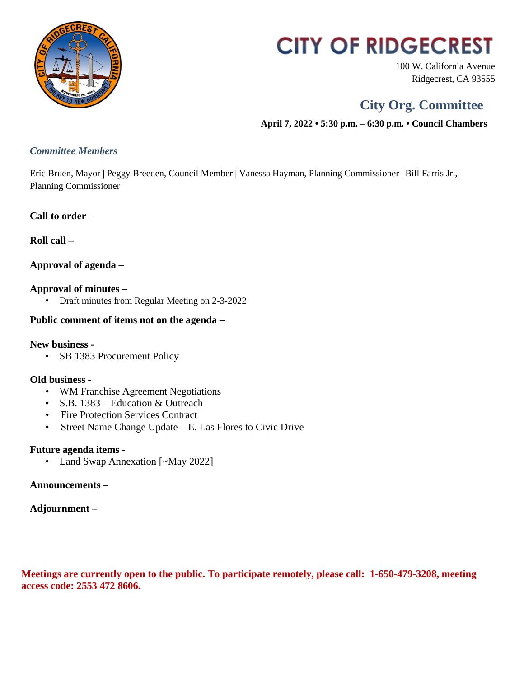

# **CITY OF RIDGECREST**

100 W. California Avenue Ridgecrest, CA 93555

# **City Org. Committee**

 **April 7, 2022 • 5:30 p.m. – 6:30 p.m. • Council Chambers**

### *Committee Members*

Eric Bruen, Mayor | Peggy Breeden, Council Member | Vanessa Hayman, Planning Commissioner | Bill Farris Jr., Planning Commissioner

### **Call to order –**

**Roll call –**

### **Approval of agenda –**

### **Approval of minutes –**

• Draft minutes from Regular Meeting on 2-3-2022

### **Public comment of items not on the agenda –**

### **New business -**

• SB 1383 Procurement Policy

### **Old business -**

- WM Franchise Agreement Negotiations
- S.B. 1383 Education & Outreach
- Fire Protection Services Contract
- Street Name Change Update E. Las Flores to Civic Drive

### **Future agenda items -**

• Land Swap Annexation [~May 2022]

### **Announcements –**

### **Adjournment –**

**Meetings are currently open to the public. To participate remotely, please call: 1-650-479-3208, meeting access code: 2553 472 8606.**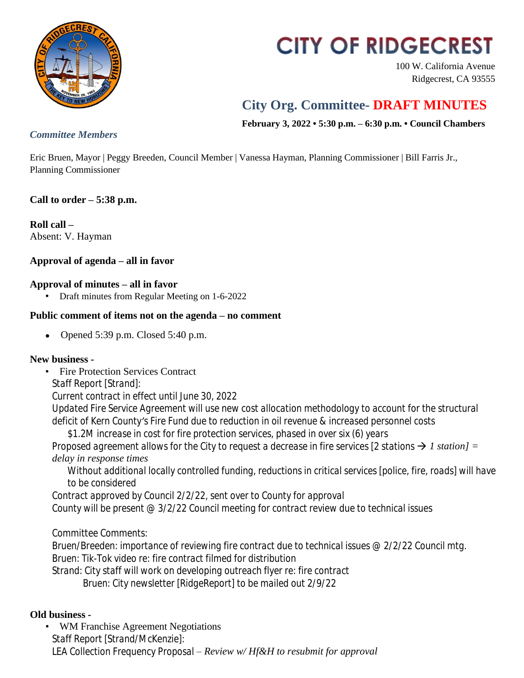

# **CITY OF RIDGECREST**

100 W. California Avenue Ridgecrest, CA 93555

# **City Org. Committee- DRAFT MINUTES**

**February 3, 2022 • 5:30 p.m. – 6:30 p.m. • Council Chambers**

### *Committee Members*

Eric Bruen, Mayor | Peggy Breeden, Council Member | Vanessa Hayman, Planning Commissioner | Bill Farris Jr., Planning Commissioner

## **Call to order – 5:38 p.m.**

**Roll call –** Absent: V. Hayman

## **Approval of agenda – all in favor**

### **Approval of minutes – all in favor**

• Draft minutes from Regular Meeting on 1-6-2022

### **Public comment of items not on the agenda – no comment**

• Opened  $5:39$  p.m. Closed  $5:40$  p.m.

### **New business -**

• Fire Protection Services Contract *Staff Report [Strand]: Current contract in effect until June 30, 2022 Updated Fire Service Agreement will use new cost allocation methodology to account for the structural deficit of Kern County's Fire Fund due to reduction in oil revenue & increased personnel costs \$1.2M increase in cost for fire protection services, phased in over six (6) years Proposed agreement allows for the City to request a decrease in fire services [2 stations*  $\rightarrow$  *1 station] = delay in response times Without additional locally controlled funding, reductions in critical services [police, fire, roads] will have to be considered Contract approved by Council 2/2/22, sent over to County for approval*

*County will be present @ 3/2/22 Council meeting for contract review due to technical issues*

*Committee Comments:*

*Bruen/Breeden: importance of reviewing fire contract due to technical issues @ 2/2/22 Council mtg. Bruen: Tik-Tok video re: fire contract filmed for distribution Strand: City staff will work on developing outreach flyer re: fire contract Bruen: City newsletter [RidgeReport] to be mailed out 2/9/22*

### **Old business -**

• WM Franchise Agreement Negotiations *Staff Report [Strand/McKenzie]: LEA Collection Frequency Proposal – Review w/ Hf&H to resubmit for approval*